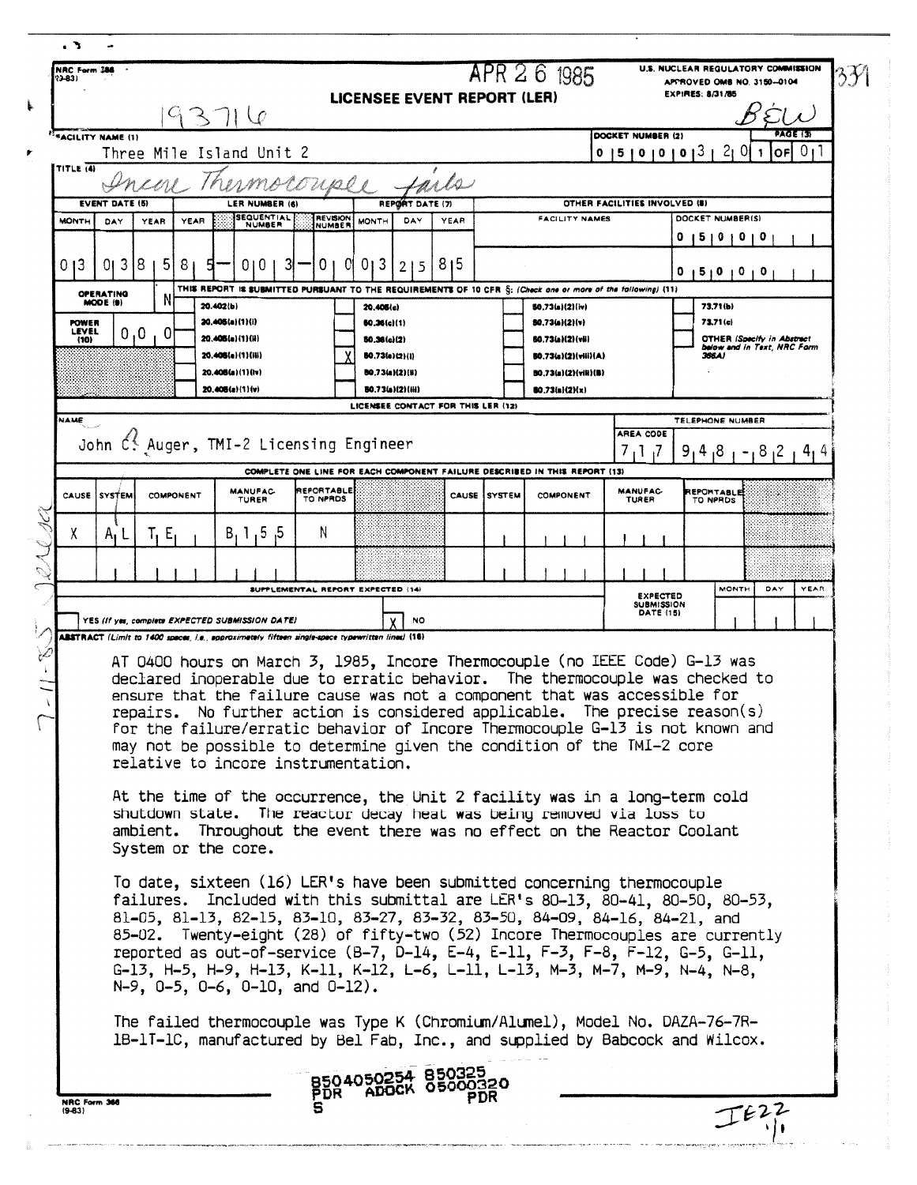|                                                            |                     |                                                                                                                                                                                                                                                                                                                                                                                                                                                                                                                                                                                                                                                                       |                          | <b>LICENSEE EVENT REPORT (LER)</b>      |                 |                                   | APR 2 6 1985                                                               |                                                          | U.S. NUCLEAR REGULATORY COMMISSION<br>APPROVED OMB NO. 3150-0104<br><b>EXPIRES: 8/31/86</b> |                      |                |
|------------------------------------------------------------|---------------------|-----------------------------------------------------------------------------------------------------------------------------------------------------------------------------------------------------------------------------------------------------------------------------------------------------------------------------------------------------------------------------------------------------------------------------------------------------------------------------------------------------------------------------------------------------------------------------------------------------------------------------------------------------------------------|--------------------------|-----------------------------------------|-----------------|-----------------------------------|----------------------------------------------------------------------------|----------------------------------------------------------|---------------------------------------------------------------------------------------------|----------------------|----------------|
|                                                            |                     | 93716                                                                                                                                                                                                                                                                                                                                                                                                                                                                                                                                                                                                                                                                 |                          |                                         |                 |                                   |                                                                            | DOCKET NUMBER (2)                                        |                                                                                             | AGE 13               |                |
| <sup>11</sup> FACILITY NAME (1)                            |                     | Three Mile Island Unit 2                                                                                                                                                                                                                                                                                                                                                                                                                                                                                                                                                                                                                                              |                          |                                         |                 |                                   |                                                                            | 0   5   0   0   0   3                                    | 2 <sub>l</sub>                                                                              | $\overline{0}$<br>OF | 0 <sub>1</sub> |
| <b>TITLE (4)</b>                                           |                     |                                                                                                                                                                                                                                                                                                                                                                                                                                                                                                                                                                                                                                                                       |                          |                                         |                 |                                   |                                                                            |                                                          |                                                                                             |                      |                |
| <b>EVENT DATE (5)</b>                                      |                     | LER NUMBER (6)                                                                                                                                                                                                                                                                                                                                                                                                                                                                                                                                                                                                                                                        |                          | REPORT DATE (7)                         |                 |                                   |                                                                            | OTHER FACILITIES INVOLVED (8)                            |                                                                                             |                      |                |
| <b>MONTH</b><br>DAY                                        | YEAR<br>YEAR        | SEQUENTIAL<br><b>NUMBER</b>                                                                                                                                                                                                                                                                                                                                                                                                                                                                                                                                                                                                                                           | <b>REVISION</b>          | DAY<br><b>MONTH</b>                     | YEAR            |                                   | <b>FACILITY NAMES</b>                                                      |                                                          | DOCKET NUMBER(S)<br>510101                                                                  |                      |                |
| 013<br>013                                                 | 5<br>81<br>18       | 010<br>3                                                                                                                                                                                                                                                                                                                                                                                                                                                                                                                                                                                                                                                              | 0                        | 013<br>215                              | 8 <sub>15</sub> |                                   |                                                                            |                                                          | 0<br>5   0   0   0                                                                          |                      |                |
| OPERATING<br>MODE (9)                                      | N                   | THIS REPORT IS SUBMITTED PURSUANT TO THE REQUIREMENTS OF 10 CFR S: (Check one or more of the following) (11)                                                                                                                                                                                                                                                                                                                                                                                                                                                                                                                                                          |                          |                                         |                 |                                   |                                                                            |                                                          |                                                                                             |                      |                |
| 20.402(b)<br>20.405(a)(1)(i)<br><b>POWER</b>               |                     |                                                                                                                                                                                                                                                                                                                                                                                                                                                                                                                                                                                                                                                                       | 20.406(c)<br>60.36(c)(1) |                                         |                 | 50.73(a)(2)(iv)<br>50.73(a)(2)(v) |                                                                            | 73.71(b)<br>73.71 (c)                                    |                                                                                             |                      |                |
| 0, 0,<br>LEVEL<br><sup>0</sup><br>20.406(a)(1)(ii)<br>(10) |                     |                                                                                                                                                                                                                                                                                                                                                                                                                                                                                                                                                                                                                                                                       | 50.36(a)(2)              |                                         |                 | 50.73(a)(2)(vii)                  |                                                                            |                                                          | <b>OTHER (Specify in Abstract</b><br>below and in Text, NRC Form                            |                      |                |
|                                                            |                     | 20.406(a) (1) (Hi)<br>20.406(a)(1)(lv)                                                                                                                                                                                                                                                                                                                                                                                                                                                                                                                                                                                                                                |                          | 80.73(a)(2)(1)<br>80.73(a)(2)(ii)       |                 |                                   | 50.73(s)(2)(viii)(A)<br>BO.73(a)(2)(vili)(B)                               |                                                          | 366A)                                                                                       |                      |                |
|                                                            |                     | $20.406(a)(1)$ (v)                                                                                                                                                                                                                                                                                                                                                                                                                                                                                                                                                                                                                                                    |                          | <b>80.73(a)(2)(iii)</b>                 |                 |                                   | BO.73(a)(2)(x)                                                             |                                                          |                                                                                             |                      |                |
| NAME                                                       |                     |                                                                                                                                                                                                                                                                                                                                                                                                                                                                                                                                                                                                                                                                       |                          | LICENSEE CONTACT FOR THIS LER (12)      |                 |                                   |                                                                            |                                                          | <b>TELEPHONE NUMBER</b>                                                                     |                      |                |
|                                                            |                     |                                                                                                                                                                                                                                                                                                                                                                                                                                                                                                                                                                                                                                                                       |                          | John C. Auger, TMI-2 Licensing Engineer |                 |                                   |                                                                            |                                                          |                                                                                             |                      |                |
|                                                            |                     |                                                                                                                                                                                                                                                                                                                                                                                                                                                                                                                                                                                                                                                                       |                          |                                         |                 |                                   | COMPLETE ONE LINE FOR EACH COMPONENT FAILURE DESCRIBED IN THIS REPORT (13) | 7, 1, 7                                                  | 9,<br>4<br>8,                                                                               | 8 <sub>1</sub> 2     | 4,4            |
| CAUSE SYSTEM                                               | COMPONENT           | <b>MANUFAC-</b><br>TURER                                                                                                                                                                                                                                                                                                                                                                                                                                                                                                                                                                                                                                              | REPORTABLE<br>TO NPROS   |                                         |                 | <b>CAUSE ISYSTEM</b>              | <b>COMPONENT</b>                                                           | <b>MANUFAC-</b><br>TURER                                 | <b>REPORTABLE</b><br>TO NPRDS                                                               |                      |                |
| χ<br>$A_1 L$                                               | T, E,               | B, 1, 5, 5                                                                                                                                                                                                                                                                                                                                                                                                                                                                                                                                                                                                                                                            | N                        |                                         |                 |                                   |                                                                            |                                                          |                                                                                             |                      |                |
|                                                            |                     |                                                                                                                                                                                                                                                                                                                                                                                                                                                                                                                                                                                                                                                                       |                          |                                         |                 |                                   |                                                                            |                                                          |                                                                                             |                      |                |
|                                                            |                     |                                                                                                                                                                                                                                                                                                                                                                                                                                                                                                                                                                                                                                                                       |                          | SUPPLEMENTAL REPORT EXPECTED (14)       |                 |                                   |                                                                            |                                                          | <b>MONTH</b>                                                                                | DAY                  | YEAR           |
|                                                            |                     |                                                                                                                                                                                                                                                                                                                                                                                                                                                                                                                                                                                                                                                                       |                          |                                         |                 |                                   |                                                                            | <b>EXPECTED</b><br><b>SUBMISSION</b><br><b>DATE (15)</b> |                                                                                             |                      |                |
|                                                            |                     | YES (If yes, complete EXPECTED SUBMISSION DATE)<br>ABSTRACT (Limit to 1400 spaces, i.e., approximately fifteen single-space typewritten lines) (16)                                                                                                                                                                                                                                                                                                                                                                                                                                                                                                                   |                          | <b>NO</b>                               |                 |                                   |                                                                            |                                                          |                                                                                             |                      |                |
|                                                            | repairs.            | AT 0400 hours on March 3, 1985, Incore Thermocouple (no IEEE Code) G-13 was<br>declared inoperable due to erratic behavior. The thermocouple was checked to<br>ensure that the failure cause was not a component that was accessible for<br>No further action is considered applicable. The precise reason(s)<br>for the failure/erratic behavior of Incore Thermocouple G-13 is not known and<br>may not be possible to determine given the condition of the TMI-2 core<br>relative to incore instrumentation.<br>At the time of the occurrence, the Unit 2 facility was in a long-term cold<br>shutdown state. The reactor decay heat was being removed via loss to |                          |                                         |                 |                                   |                                                                            |                                                          |                                                                                             |                      |                |
|                                                            | System or the core. | ambient. Throughout the event there was no effect on the Reactor Coolant                                                                                                                                                                                                                                                                                                                                                                                                                                                                                                                                                                                              |                          |                                         |                 |                                   |                                                                            |                                                          |                                                                                             |                      |                |
|                                                            |                     | To date, sixteen (16) LER's have been submitted concerning thermocouple<br>failures. Included with this submittal are LER's 80-13, 80-41, 80-50, 80-53,<br>81-05, 81-13, 82-15, 83-10, 83-27, 83-32, 83-50, 84-09, 84-16, 84-21, and<br>85-02. Twenty-eight (28) of fifty-two (52) Incore Thermocouples are currently<br>reported as out-of-service $(B-7, D-14, E-4, E-11, F-3, F-8, F-12, G-5, G-11,$<br>G-13, H-5, H-9, H-13, K-11, K-12, L-6, L-11, L-13, M-3, M-7, M-9, N-4, N-8,<br>$N-9$ , $0-5$ , $0-6$ , $0-10$ , and $0-12$ ).                                                                                                                              |                          |                                         |                 |                                   |                                                                            |                                                          |                                                                                             |                      |                |
|                                                            |                     | The failed thermocouple was Type K (Chromium/Alumel), Model No. DAZA-76-7R-<br>1B-1T-1C, manufactured by Bel Fab, Inc., and supplied by Babcock and Wilcox.                                                                                                                                                                                                                                                                                                                                                                                                                                                                                                           |                          |                                         |                 |                                   |                                                                            |                                                          |                                                                                             |                      |                |
|                                                            |                     |                                                                                                                                                                                                                                                                                                                                                                                                                                                                                                                                                                                                                                                                       |                          | 8504050254 850325<br>PDR ADOCK 05000320 |                 |                                   |                                                                            |                                                          |                                                                                             |                      |                |